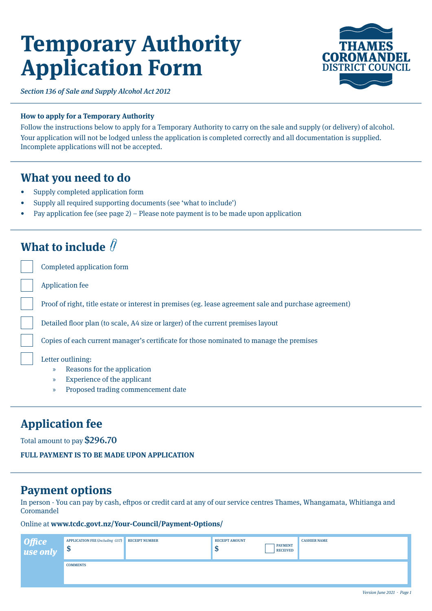# **Temporary Authority Application Form**



Section 136 of Sale and Supply Alcohol Act 2012

## **How to apply for a Temporary Authority**

Follow the instructions below to apply for a Temporary Authority to carry on the sale and supply (or delivery) of alcohol. Your application will not be lodged unless the application is completed correctly and all documentation is supplied. Incomplete applications will not be accepted.

## **What you need to do**

- Supply completed application form
- Supply all required supporting documents (see 'what to include')
- Pay application fee (see page 2) Please note payment is to be made upon application

## **What to include**

Completed application form

Application fee

Proof of right, title estate or interest in premises (eg. lease agreement sale and purchase agreement)

Detailed floor plan (to scale, A4 size or larger) of the current premises layout

Copies of each current manager's certificate for those nominated to manage the premises

Letter outlining:

- » Reasons for the application
- » Experience of the applicant
- » Proposed trading commencement date

## **Application fee**

Total amount to pay \$296.70

**FULL PAYMENT IS TO BE MADE UPON APPLICATION**

## **Payment options**

In person - You can pay by cash, eftpos or credit card at any of our service centres Thames, Whangamata, Whitianga and Coromandel

## Online at **www.tcdc.govt.nz/Your-Council/Payment-Options/**

| Office<br>use only | APPLICATION FEE (Including GST) RECEIPT NUMBER<br>-ψ | <b>RECEIPT AMOUNT</b><br>ND. | <b>PAYMENT</b><br><b>RECEIVED</b> | <b>CASHIER NAME</b> |
|--------------------|------------------------------------------------------|------------------------------|-----------------------------------|---------------------|
|                    | <b>COMMENTS</b>                                      |                              |                                   |                     |
|                    |                                                      |                              |                                   |                     |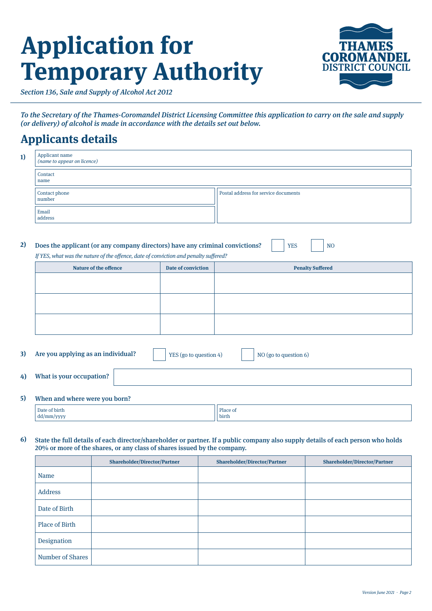# **Application for Temporary Authority**



Section 136, Sale and Supply of Alcohol Act 2012

To the Secretary of the Thames-Coromandel District Licensing Committee this application to carry on the sale and supply (or delivery) of alcohol is made in accordance with the details set out below.

# **Applicants details**

| 1)                                                                                                                                                                                                         | Applicant name<br>(name to appear on licence) |  |                                      |  |  |  |
|------------------------------------------------------------------------------------------------------------------------------------------------------------------------------------------------------------|-----------------------------------------------|--|--------------------------------------|--|--|--|
|                                                                                                                                                                                                            | Contact<br>name                               |  |                                      |  |  |  |
|                                                                                                                                                                                                            | Contact phone<br>number                       |  | Postal address for service documents |  |  |  |
|                                                                                                                                                                                                            | Email<br>address                              |  |                                      |  |  |  |
| 2)<br>Does the applicant (or any company directors) have any criminal convictions?<br><b>YES</b><br>N <sub>O</sub><br>If YES, what was the nature of the offence, date of conviction and penalty suffered? |                                               |  |                                      |  |  |  |
| <b>Date of conviction</b><br><b>Nature of the offence</b><br><b>Penalty Suffered</b>                                                                                                                       |                                               |  |                                      |  |  |  |

| Nature of the offence | Date of conviction | <b>Penalty Suffered</b> |
|-----------------------|--------------------|-------------------------|
|                       |                    |                         |
|                       |                    |                         |
|                       |                    |                         |
|                       |                    |                         |
|                       |                    |                         |
|                       |                    |                         |
|                       |                    |                         |
|                       |                    |                         |
|                       |                    |                         |

| 3) | Are you applying as an individual? | <sup>1</sup> YES (go to question 4) | NO (go to question 6) |
|----|------------------------------------|-------------------------------------|-----------------------|
| 4) | What is your occupation?           |                                     |                       |
|    |                                    |                                     |                       |

#### When and where were you born? **5)**

| .             |          |
|---------------|----------|
| Date of birth | Place of |
|               | .        |
| dd/mm/yyyy    | birth    |

#### **6)** State the full details of each director/shareholder or partner. If a public company also supply details of each person who holds 20% or more of the shares, or any class of shares issued by the company.

|                  | <b>Shareholder/Director/Partner</b> | <b>Shareholder/Director/Partner</b> | <b>Shareholder/Director/Partner</b> |
|------------------|-------------------------------------|-------------------------------------|-------------------------------------|
| Name             |                                     |                                     |                                     |
| Address          |                                     |                                     |                                     |
| Date of Birth    |                                     |                                     |                                     |
| Place of Birth   |                                     |                                     |                                     |
| Designation      |                                     |                                     |                                     |
| Number of Shares |                                     |                                     |                                     |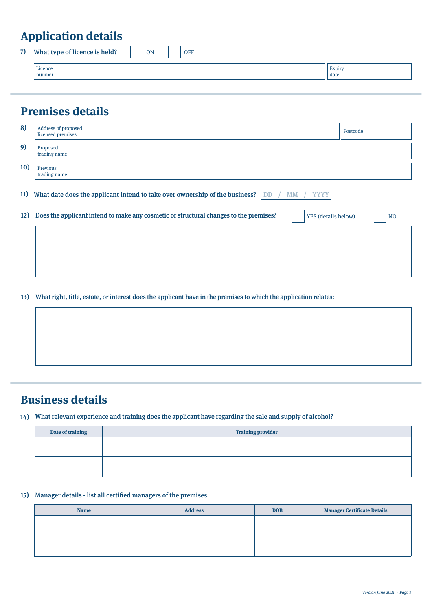# **Application details**

| 7) | What type of licence is held? | ON | <b>OFF</b> |                |
|----|-------------------------------|----|------------|----------------|
|    | Licence<br>number             |    |            | Expiry<br>date |
|    |                               |    |            |                |

# **Premises details**

| 8)         | Address of proposed<br>licensed premises                                                                             | Postcode       |
|------------|----------------------------------------------------------------------------------------------------------------------|----------------|
| 9)         | Proposed<br>trading name                                                                                             |                |
| <b>10</b>  | Previous<br>trading name                                                                                             |                |
| <b>11)</b> | What date does the applicant intend to take over ownership of the business?<br><b>DD</b><br><b>YYYY</b><br><b>MM</b> |                |
| 12)        | Does the applicant intend to make any cosmetic or structural changes to the premises?<br>YES (details below)         | N <sub>O</sub> |
|            |                                                                                                                      |                |

**13)** What right, title, estate, or interest does the applicant have in the premises to which the application relates:

## **Business details**

### What relevant experience and training does the applicant have regarding the sale and supply of alcohol? **14)**

| Date of training | <b>Training provider</b> |
|------------------|--------------------------|
|                  |                          |
|                  |                          |
|                  |                          |
|                  |                          |

## **15)** Manager details - list all certified managers of the premises:

| <b>Name</b> | <b>Address</b> | <b>DOB</b> | <b>Manager Certificate Details</b> |
|-------------|----------------|------------|------------------------------------|
|             |                |            |                                    |
|             |                |            |                                    |
|             |                |            |                                    |
|             |                |            |                                    |